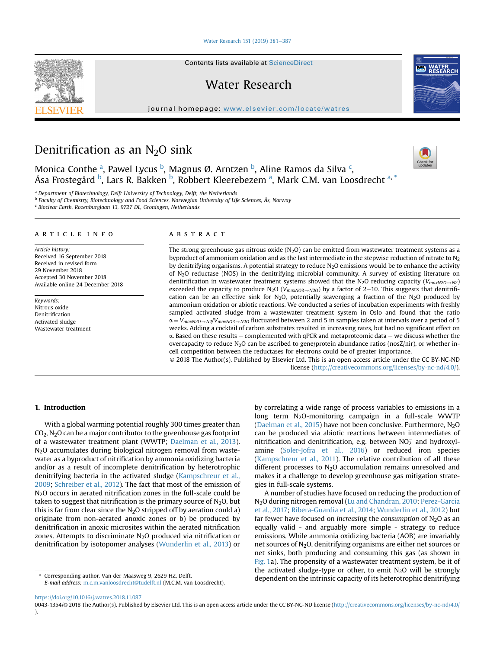[Water Research 151 \(2019\) 381](https://doi.org/10.1016/j.watres.2018.11.087)-[387](https://doi.org/10.1016/j.watres.2018.11.087)

Contents lists available at ScienceDirect

Water Research

journal homepage: <www.elsevier.com/locate/watres>





Monica Conthe <sup>a</sup>, Pawel Lycus <sup>b</sup>, Magnus Ø. Arntzen <sup>b</sup>, Aline Ramos da Silva <sup>c</sup>, Åsa Frostegård <sup>b</sup>, Lars R. Bakken <sup>b</sup>, Robbert Kleerebezem <sup>a</sup>, Mark C.M. van Loosdrecht <sup>a, \*</sup>

<sup>a</sup> Department of Biotechnology, Delft University of Technology, Delft, the Netherlands

<sup>b</sup> Faculty of Chemistry, Biotechnology and Food Sciences, Norwegian University of Life Sciences, Ås, Norway

<sup>c</sup> Bioclear Earth, Rozenburglaan 13, 9727 DL, Groningen, Netherlands

## article info

Article history: Received 16 September 2018 Received in revised form 29 November 2018 Accepted 30 November 2018 Available online 24 December 2018

Keywords: Nitrous oxide Denitrification Activated sludge Wastewater treatment

#### **ABSTRACT**

The strong greenhouse gas nitrous oxide  $(N_2O)$  can be emitted from wastewater treatment systems as a byproduct of ammonium oxidation and as the last intermediate in the stepwise reduction of nitrate to  $N<sub>2</sub>$ by denitrifying organisms. A potential strategy to reduce  $N_2O$  emissions would be to enhance the activity of N2O reductase (NOS) in the denitrifying microbial community. A survey of existing literature on denitrification in wastewater treatment systems showed that the N<sub>2</sub>O reducing capacity ( $V_{maxN2O\rightarrow N2}$ ) exceeded the capacity to produce N<sub>2</sub>O ( $V_{maxNO3\rightarrow N2O}$ ) by a factor of 2–10. This suggests that denitrification can be an effective sink for N<sub>2</sub>O, potentially scavenging a fraction of the N<sub>2</sub>O produced by ammonium oxidation or abiotic reactions. We conducted a series of incubation experiments with freshly sampled activated sludge from a wastewater treatment system in Oslo and found that the ratio  $\alpha = V_{maxN2O\rightarrow N2}/V_{maxN03\rightarrow N2O}$  fluctuated between 2 and 5 in samples taken at intervals over a period of 5 weeks. Adding a cocktail of carbon substrates resulted in increasing rates, but had no significant effect on  $\alpha$ . Based on these results  $-$  complemented with qPCR and metaproteomic data  $-$  we discuss whether the overcapacity to reduce  $N_2O$  can be ascribed to gene/protein abundance ratios (nosZ/nir), or whether incell competition between the reductases for electrons could be of greater importance.

© 2018 The Author(s). Published by Elsevier Ltd. This is an open access article under the CC BY-NC-ND license [\(http://creativecommons.org/licenses/by-nc-nd/4.0/](http://creativecommons.org/licenses/by-nc-nd/4.0/)).

### 1. Introduction

With a global warming potential roughly 300 times greater than CO2, N2O can be a major contributor to the greenhouse gas footprint of a wastewater treatment plant (WWTP; [Daelman et al., 2013\)](#page-5-0). N2O accumulates during biological nitrogen removal from wastewater as a byproduct of nitrification by ammonia oxidizing bacteria and/or as a result of incomplete denitrification by heterotrophic denitrifying bacteria in the activated sludge ([Kampschreur et al.,](#page-5-0) [2009;](#page-5-0) [Schreiber et al., 2012](#page-6-0)). The fact that most of the emission of N<sub>2</sub>O occurs in aerated nitrification zones in the full-scale could be taken to suggest that nitrification is the primary source of  $N_2O$ , but this is far from clear since the  $N_2O$  stripped off by aeration could a) originate from non-aerated anoxic zones or b) be produced by denitrification in anoxic microsites within the aerated nitrification zones. Attempts to discriminate  $N_2O$  produced via nitrification or denitrification by isotopomer analyses [\(Wunderlin et al., 2013\)](#page-6-0) or

E-mail address: [m.c.m.vanloosdrecht@tudelft.nl](mailto:m.c.m.vanloosdrecht@tudelft.nl) (M.C.M. van Loosdrecht).

by correlating a wide range of process variables to emissions in a long term  $N_2O$ -monitoring campaign in a full-scale WWTP ([Daelman et al., 2015\)](#page-5-0) have not been conclusive. Furthermore,  $N_2O$ can be produced via abiotic reactions between intermediates of nitrification and denitrification, e.g. between  $NO<sub>2</sub>$  and hydroxylamine [\(Soler-Jofra et al., 2016\)](#page-6-0) or reduced iron species ([Kampschreur et al., 2011\)](#page-5-0). The relative contribution of all these different processes to  $N<sub>2</sub>O$  accumulation remains unresolved and makes it a challenge to develop greenhouse gas mitigation strategies in full-scale systems.

A number of studies have focused on reducing the production of N2O during nitrogen removal [\(Lu and Chandran, 2010](#page-5-0); [Perez-Garcia](#page-6-0) [et al., 2017;](#page-6-0) [Ribera-Guardia et al., 2014](#page-6-0); [Wunderlin et al., 2012\)](#page-6-0) but far fewer have focused on increasing the consumption of  $N_2O$  as an equally valid - and arguably more simple - strategy to reduce emissions. While ammonia oxidizing bacteria (AOB) are invariably net sources of N<sub>2</sub>O, denitrifying organisms are either net sources or net sinks, both producing and consuming this gas (as shown in [Fig. 1](#page-1-0)a). The propensity of a wastewater treatment system, be it of the activated sludge-type or other, to emit  $N_2O$  will be strongly Corresponding author. Van der Maasweg 9, 2629 HZ, Delft. denies of the intrinsic capacity of its heterotrophic denitrifying dependent on the intrinsic capacity of its heterotrophic denitrifying

<https://doi.org/10.1016/j.watres.2018.11.087>

<sup>0043-1354/</sup>© 2018 The Author(s). Published by Elsevier Ltd. This is an open access article under the CC BY-NC-ND license [\(http://creativecommons.org/licenses/by-nc-nd/4.0/](http://creativecommons.org/licenses/by-nc-nd/4.0/) ).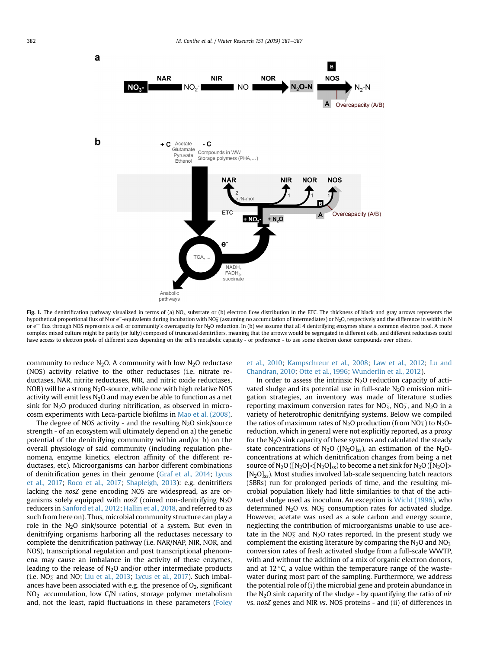<span id="page-1-0"></span>

Fig. 1. The denitrification pathway visualized in terms of (a) NO<sub>x</sub> substrate or (b) electron flow distribution in the ETC. The thickness of black and gray arrows represents the hypothetical proportional flux of N or e<sup>-</sup>-equivalents during incubation with NO $_{\rm 3}$  (assuming no accumulation of intermediates) or N<sub>2</sub>O, respectively and the difference in width in N or  $e^-$  flux through NOS represents a cell or community's overcapacity for N<sub>2</sub>O reduction. In (b) we assume that all 4 denitrifying enzymes share a common electron pool. A more complex mixed culture might be partly (or fully) composed of truncated denitrifiers, meaning that the arrows would be segregated in different cells, and different reductases could have access to electron pools of different sizes depending on the cell's metabolic capacity - or preference - to use some electron donor compounds over others.

community to reduce  $N_2O$ . A community with low  $N_2O$  reductase (NOS) activity relative to the other reductases (i.e. nitrate reductases, NAR, nitrite reductases, NIR, and nitric oxide reductases, NOR) will be a strong  $N<sub>2</sub>O$ -source, while one with high relative NOS activity will emit less  $N_2O$  and may even be able to function as a net sink for N2O produced during nitrification, as observed in microcosm experiments with Leca-particle biofilms in [Mao et al. \(2008\).](#page-5-0)

The degree of NOS activity - and the resulting  $N_2O$  sink/source strength - of an ecosystem will ultimately depend on a) the genetic potential of the denitrifying community within and/or b) on the overall physiology of said community (including regulation phenomena, enzyme kinetics, electron affinity of the different reductases, etc). Microorganisms can harbor different combinations of denitrification genes in their genome ([Graf et al., 2014](#page-5-0); [Lycus](#page-5-0) [et al., 2017](#page-5-0); [Roco et al., 2017](#page-6-0); [Shapleigh, 2013\)](#page-6-0): e.g. denitrifiers lacking the nosZ gene encoding NOS are widespread, as are organisms solely equipped with nosZ (coined non-denitrifying  $N_2O$ reducers in [Sanford et al., 2012;](#page-6-0) [Hallin et al., 2018,](#page-5-0) and referred to as such from here on). Thus, microbial community structure can play a role in the  $N_2O$  sink/source potential of a system. But even in denitrifying organisms harboring all the reductases necessary to complete the denitrification pathway (i.e. NAR/NAP, NIR, NOR, and NOS), transcriptional regulation and post transcriptional phenomena may cause an imbalance in the activity of these enzymes, leading to the release of  $N_2O$  and/or other intermediate products (i.e.  $NO<sub>2</sub>$  and NO; [Liu et al., 2013;](#page-5-0) [Lycus et al., 2017](#page-5-0)). Such imbalances have been associated with e.g. the presence of  $O<sub>2</sub>$ , significant  $\rm NO_{2}^-$  accumulation, low C/N ratios, storage polymer metabolism and, not the least, rapid fluctuations in these parameters [\(Foley](#page-5-0)

## [et al., 2010](#page-5-0); [Kampschreur et al., 2008](#page-5-0); [Law et al., 2012](#page-5-0); [Lu and](#page-5-0) [Chandran, 2010;](#page-5-0) [Otte et al., 1996](#page-6-0); [Wunderlin et al., 2012](#page-6-0)).

In order to assess the intrinsic  $N_2O$  reduction capacity of activated sludge and its potential use in full-scale  $N<sub>2</sub>O$  emission mitigation strategies, an inventory was made of literature studies reporting maximum conversion rates for  $NO_3^-$ ,  $NO_2^-$ , and  $N_2O$  in a variety of heterotrophic denitrifying systems. Below we compiled the ratios of maximum rates of N<sub>2</sub>O production (from NO<sub>3</sub>) to N<sub>2</sub>Oreduction, which in general were not explicitly reported, as a proxy for the  $N_2O$  sink capacity of these systems and calculated the steady state concentrations of  $N_2O$  ( $[N_2O]_{ss}$ ), an estimation of the  $N_2O$ concentrations at which denitrification changes from being a net source of  $N_2O([N_2O]<[N_2O]_{ss})$  to become a net sink for  $N_2O([N_2O]>)$ [N<sub>2</sub>O]<sub>ss</sub>). Most studies involved lab-scale sequencing batch reactors (SBRs) run for prolonged periods of time, and the resulting microbial population likely had little similarities to that of the activated sludge used as inoculum. An exception is [Wicht \(1996\),](#page-6-0) who determined  $N_2O$  vs.  $NO_3^-$  consumption rates for activated sludge. However, acetate was used as a sole carbon and energy source, neglecting the contribution of microorganisms unable to use acetate in the NO<sub>3</sub> and N<sub>2</sub>O rates reported. In the present study we complement the existing literature by comparing the  $N_2O$  and  $NO_3^$ conversion rates of fresh activated sludge from a full-scale WWTP, with and without the addition of a mix of organic electron donors, and at 12 $\degree$ C, a value within the temperature range of the wastewater during most part of the sampling. Furthermore, we address the potential role of (i) the microbial gene and protein abundance in the  $N_2O$  sink capacity of the sludge - by quantifying the ratio of nir vs. nosZ genes and NIR vs. NOS proteins - and (ii) of differences in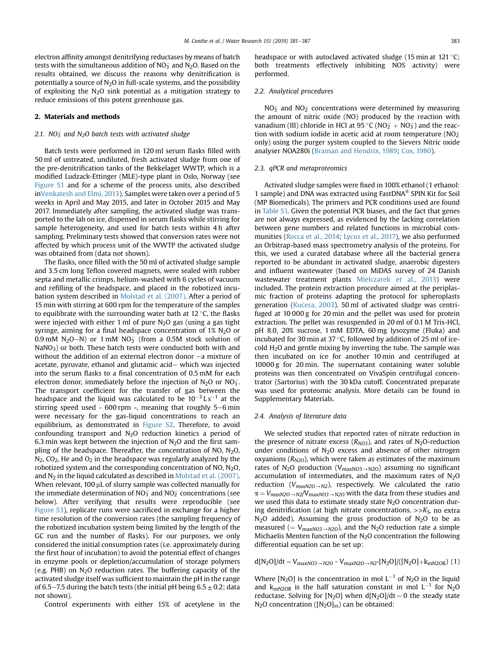electron affinity amongst denitrifying reductases by means of batch tests with the simultaneous addition of NO $_3^-$  and N $_2$ O. Based on the results obtained, we discuss the reasons why denitrification is potentially a source of  $N_2O$  in full-scale systems, and the possibility of exploiting the  $N_2O$  sink potential as a mitigation strategy to reduce emissions of this potent greenhouse gas.

#### 2. Materials and methods

#### 2.1.  $\rm NO_3^-$  and  $\rm N_2O$  batch tests with activated sludge

Batch tests were performed in 120 ml serum flasks filled with 50 ml of untreated, undiluted, fresh activated sludge from one of the pre-denitrification tanks of the Bekkelaget WWTP, which is a modified Ludzack-Ettinger (MLE)-type plant in Oslo, Norway (see Figure S1 and for a scheme of the process units, also described in[Venkatesh and Elmi, 2013\)](#page-6-0). Samples were taken over a period of 5 weeks in April and May 2015, and later in October 2015 and May 2017. Immediately after sampling, the activated sludge was transported to the lab on ice, dispensed in serum flasks while stirring for sample heterogeneity, and used for batch tests within 4 h after sampling. Preliminary tests showed that conversion rates were not affected by which process unit of the WWTP the activated sludge was obtained from (data not shown).

The flasks, once filled with the 50 ml of activated sludge sample and 3.5 cm long Teflon covered magnets, were sealed with rubber septa and metallic crimps, helium-washed with 6 cycles of vacuum and refilling of the headspace, and placed in the robotized incubation system described in [Molstad et al. \(2007\).](#page-5-0) After a period of 15 min with stirring at 600 rpm for the temperature of the samples to equilibrate with the surrounding water bath at  $12^{\circ}$ C, the flasks were injected with either 1 ml of pure  $N_2O$  gas (using a gas tight syringe, aiming for a final headspace concentration of  $1\%$  N<sub>2</sub>O or  $0.9 \text{ mM } N_2O-N$ ) or  $1 \text{ mM } NO_3^-$  (from a  $0.5M$  stock solution of  $NaNO<sub>3</sub>$ ) or both. These batch tests were conducted both with and without the addition of an external electron donor  $-a$  mixture of acetate, pyruvate, ethanol and glutamic acid- which was injected into the serum flasks to a final concentration of 0.5 mM for each electron donor, immediately before the injection of N<sub>2</sub>O or NO<sub>3</sub>. The transport coefficient for the transfer of gas between the headspace and the liquid was calculated to be  $10^{-3} Ls^{-1}$  at the stirring speed used -  $600$  rpm -, meaning that roughly  $5-6$  min were necessary for the gas-liquid concentrations to reach an equilibrium, as demonstrated in Figure S2. Therefore, to avoid confounding transport and  $N_2O$  reduction kinetics a period of 6.3 min was kept between the injection of  $N_2O$  and the first sampling of the headspace. Thereafter, the concentration of NO,  $N_2O$ ,  $N_2$ ,  $CO_2$ , He and  $O_2$  in the headspace was regularly analyzed by the robotized system and the corresponding concentration of NO, N2O, and  $N_2$  in the liquid calculated as described in [Molstad et al. \(2007\).](#page-5-0) When relevant,  $100 \mu$ L of slurry sample was collected manually for the immediate determination of NO $_3^-$  and NO $_2^-$  concentrations (see below). After verifying that results were reproducible (see Figure S3), replicate runs were sacrificed in exchange for a higher time resolution of the conversion rates (the sampling frequency of the robotized incubation system being limited by the length of the GC run and the number of flasks). For our purposes, we only considered the initial consumption rates (i.e. approximately during the first hour of incubation) to avoid the potential effect of changes in enzyme pools or depletion/accumulation of storage polymers (e.g. PHB) on  $N_2O$  reduction rates. The buffering capacity of the activated sludge itself was sufficient to maintain the pH in the range of 6.5–7.5 during the batch tests (the initial pH being  $6.5 \pm 0.2$ ; data not shown).

Control experiments with either 15% of acetylene in the

headspace or with autoclaved activated sludge (15 min at 121 $\,^{\circ}$ C; both treatments effectively inhibiting NOS activity) were performed.

# 2.2. Analytical procedures

 $NO<sub>3</sub>$  and  $NO<sub>2</sub>$  concentrations were determined by measuring the amount of nitric oxide (NO) produced by the reaction with vanadium (III) chloride in HCl at 95 °C ( $NO<sub>2</sub> + NO<sub>3</sub>$ ) and the reaction with sodium iodide in acetic acid at room temperature (NO $_2^$ only) using the purger system coupled to the Sievers Nitric oxide analyser NOA280i ([Braman and Hendrix, 1989;](#page-5-0) [Cox, 1980](#page-5-0)).

#### 2.3. qPCR and metaproteomics

Activated sludge samples were fixed in 100% ethanol (1 ethanol: 1 sample) and DNA was extracted using FastDNA® SPIN Kit for Soil (MP Biomedicals). The primers and PCR conditions used are found in Table S1. Given the potential PCR biases, and the fact that genes are not always expressed, as evidenced by the lacking correlation between gene numbers and related functions in microbial communities [\(Rocca et al., 2014](#page-6-0); [Lycus et al., 2017\)](#page-5-0), we also performed an Orbitrap-based mass spectrometry analysis of the proteins. For this, we used a curated database where all the bacterial genera reported to be abundant in activated sludge, anaerobic digesters and influent wastewater (based on MiDAS survey of 24 Danish wastewater treatment plants [Mielczarek et al., 2013\)](#page-5-0) were included. The protein extraction procedure aimed at the periplasmic fraction of proteins adapting the protocol for spheroplasts generation ([Ku](#page-5-0)č[era, 2003](#page-5-0)). 50 ml of activated sludge was centrifuged at 10 000 g for 20 min and the pellet was used for protein extraction. The pellet was resuspended in 20 ml of 0.1 M Tris-HCl, pH 8.0, 20% sucrose, 1 mM EDTA, 60 mg lysozyme (Fluka) and incubated for 30 min at 37 $\degree$ C, followed by addition of 25 ml of ice- $\text{cold H}_2\text{O}$  and gentle mixing by inverting the tube. The sample was then incubated on ice for another 10 min and centrifuged at 10000 g for 20 min. The supernatant containing water soluble proteins was then concentrated on VivaSpin centrifugal concentrator (Sartorius) with the 30 kDa cutoff. Concentrated preparate was used for proteomic analysis. More details can be found in Supplementary Materials.

# 2.4. Analysis of literature data

We selected studies that reported rates of nitrate reduction in the presence of nitrate excess ( $R_{NO3}$ ), and rates of N<sub>2</sub>O-reduction under conditions of  $N_2O$  excess and absence of other nitrogen oxyanions ( $R_{N2O}$ ), which were taken as estimates of the maximum rates of N<sub>2</sub>O production (V<sub>maxNO3</sub> $\rightarrow$ N<sub>2O</sub>) assuming no significant accumulation of intermediates, and the maximum rates of  $N_2O$ reduction ( $V_{maxN2O\rightarrow N2}$ ), respectively. We calculated the ratio  $\alpha = V_{maxN2O\rightarrow N2}/V_{maxN03\rightarrow N2O}$  with the data from these studies and we used this data to estimate steady state  $N_2O$  concentration during denitrification (at high nitrate concentrations,  $>> K<sub>S</sub>$ , no extra  $N_2O$  added). Assuming the gross production of  $N_2O$  to be as measured (=  $V_{maxNO3\rightarrow N2O}$ ), and the N<sub>2</sub>O reduction rate a simple Michaelis Menten function of the  $N_2O$  concentration the following differential equation can be set up:

# $d[N_2O]/dt = V_{maxNO3 \rightarrow N2O} - V_{maxN2O \rightarrow N2*}[N_2O]/([N_2O]+k_{mN2OR})$  (1)

Where [N<sub>2</sub>O] is the concentration in mol  $L^{-1}$  of N<sub>2</sub>O in the liquid and  $k_{\text{mN2OR}}$  is the half saturation constant in mol  $L^{-1}$  for N<sub>2</sub>O reductase. Solving for  $[N_2O]$  when  $d[N_2O]/dt = 0$  the steady state  $N_2O$  concentration ( $[N_2O]_{ss}$ ) can be obtained: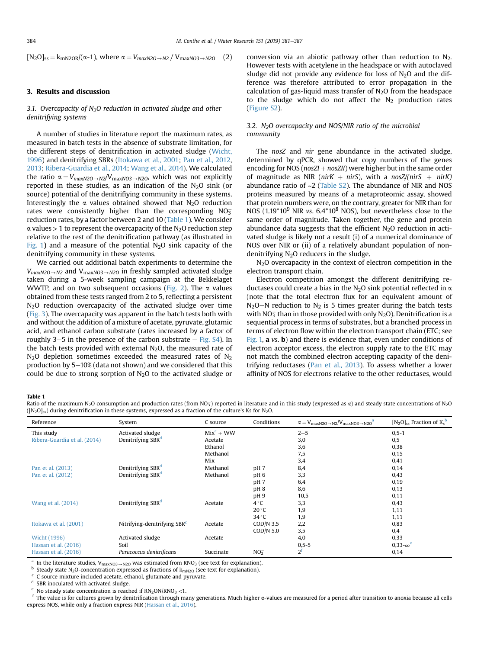<span id="page-3-0"></span> $[N_2O]_{ss} = k_{mN2OR}/(\alpha-1)$ , where  $\alpha = V_{maxN2O\rightarrow N2} / V_{maxN03\rightarrow N2O}$  (2)

### 3. Results and discussion

### 3.1. Overcapacity of  $N_2O$  reduction in activated sludge and other denitrifying systems

A number of studies in literature report the maximum rates, as measured in batch tests in the absence of substrate limitation, for the different steps of denitrification in activated sludge [\(Wicht,](#page-6-0) [1996](#page-6-0)) and denitrifying SBRs [\(Itokawa et al., 2001;](#page-5-0) [Pan et al., 2012,](#page-6-0) [2013](#page-6-0); [Ribera-Guardia et al., 2014](#page-6-0); [Wang et al., 2014](#page-6-0)). We calculated the ratio  $\alpha = V_{maxN2O\rightarrow N2}/V_{maxN03\rightarrow N2O}$ , which was not explicitly reported in these studies, as an indication of the  $N<sub>2</sub>O$  sink (or source) potential of the denitrifiying community in these systems. Interestingly the  $\alpha$  values obtained showed that N<sub>2</sub>O reduction rates were consistently higher than the corresponding  $NO_{3}^{-}$ reduction rates, by a factor between 2 and 10 (Table 1). We consider  $\alpha$  values > 1 to represent the overcapacity of the N<sub>2</sub>O reduction step relative to the rest of the denitrification pathway (as illustrated in [Fig. 1](#page-1-0)) and a measure of the potential  $N_2O$  sink capacity of the denitrifying community in these systems.

We carried out additional batch experiments to determine the  $V_{maxN2O\rightarrow N2}$  and  $V_{maxN03\rightarrow N2O}$  in freshly sampled activated sludge taken during a 5-week sampling campaign at the Bekkelaget WWTP, and on two subsequent occasions ([Fig. 2](#page-4-0)). The  $\alpha$  values obtained from these tests ranged from 2 to 5, reflecting a persistent N<sub>2</sub>O reduction overcapacity of the activated sludge over time ([Fig. 3\)](#page-4-0). The overcapacity was apparent in the batch tests both with and without the addition of a mixture of acetate, pyruvate, glutamic acid, and ethanol carbon substrate (rates increased by a factor of roughly 3–5 in the presence of the carbon substrate  $-$  Fig. S4). In the batch tests provided with external  $N<sub>2</sub>O$ , the measured rate of  $N<sub>2</sub>O$  depletion sometimes exceeded the measured rates of  $N<sub>2</sub>$ production by  $5-10\%$  (data not shown) and we considered that this could be due to strong sorption of  $N<sub>2</sub>O$  to the activated sludge or conversion via an abiotic pathway other than reduction to  $N_2$ . However tests with acetylene in the headspace or with autoclaved sludge did not provide any evidence for loss of  $N_2O$  and the difference was therefore attributed to error propagation in the calculation of gas-liquid mass transfer of  $N<sub>2</sub>O$  from the headspace to the sludge which do not affect the  $N_2$  production rates (Figure S2).

## 3.2. N<sub>2</sub>O overcapacity and NOS/NIR ratio of the microbial community

The nosZ and nir gene abundance in the activated sludge, determined by qPCR, showed that copy numbers of the genes encoding for NOS ( $nosZI + nosZII$ ) were higher but in the same order of magnitude as NIR (nirK  $+$  nirS), with a nosZ/(nirS  $+$  nirK) abundance ratio of  $\sim$ 2 (Table S2). The abundance of NIR and NOS proteins measured by means of a metaproteomic assay, showed that protein numbers were, on the contrary, greater for NIR than for NOS  $(1.19*10<sup>9</sup>$  NIR vs.  $6.4*10<sup>8</sup>$  NOS), but nevertheless close to the same order of magnitude. Taken together, the gene and protein abundance data suggests that the efficient  $N_2O$  reduction in activated sludge is likely not a result (i) of a numerical dominance of NOS over NIR or (ii) of a relatively abundant population of nondenitrifying N<sub>2</sub>O reducers in the sludge.

N<sub>2</sub>O overcapacity in the context of electron competition in the electron transport chain.

Electron competition amongst the different denitrifying reductases could create a bias in the N<sub>2</sub>O sink potential reflected in  $\alpha$ (note that the total electron flux for an equivalent amount of  $N<sub>2</sub>O-N$  reduction to  $N<sub>2</sub>$  is 5 times greater during the batch tests with  $NO<sub>3</sub>$  than in those provided with only  $N<sub>2</sub>O$ ). Denitrification is a sequential process in terms of substrates, but a branched process in terms of electron flow within the electron transport chain (ETC; see [Fig. 1,](#page-1-0) a vs. b) and there is evidence that, even under conditions of electron acceptor excess, the electron supply rate to the ETC may not match the combined electron accepting capacity of the denitrifying reductases ([Pan et al., 2013](#page-6-0)). To assess whether a lower affinity of NOS for electrons relative to the other reductases, would

#### Table 1

Ratio of the maximum N<sub>2</sub>O consumption and production rates (from NO3) reported in literature and in this study (expressed as α) and steady state concentrations of N<sub>2</sub>O  $([N_2O]_{ss})$  during denitrification in these systems, expressed as a fraction of the culture's Ks for N<sub>2</sub>O.

| Reference                    | System                         | C source    | Conditions      | $\alpha = V_{\text{maxN2O} \rightarrow \text{N2}}/V_{\text{maxNO3} \rightarrow \text{N2O}}^{\text{a}}$ | $[N_2O]_{ss}$ Fraction of $K_s^b$ |
|------------------------------|--------------------------------|-------------|-----------------|--------------------------------------------------------------------------------------------------------|-----------------------------------|
| This study                   | Activated sludge               | $Mixc + WW$ |                 | $2 - 5$                                                                                                | $0, 5 - 1$                        |
| Ribera-Guardia et al. (2014) | Denitrifying SBR <sup>d</sup>  | Acetate     |                 | 3,0                                                                                                    | 0,5                               |
|                              |                                | Ethanol     |                 | 3,6                                                                                                    | 0,38                              |
|                              |                                | Methanol    |                 | 7,5                                                                                                    | 0,15                              |
|                              |                                | Mix         |                 | 3,4                                                                                                    | 0,41                              |
| Pan et al. (2013)            | Denitrifying SBR <sup>d</sup>  | Methanol    | pH <sub>7</sub> | 8,4                                                                                                    | 0,14                              |
| Pan et al. (2012)            | Denitrifying SBR <sup>d</sup>  | Methanol    | pH <sub>6</sub> | 3,3                                                                                                    | 0,43                              |
|                              |                                |             | pH <sub>7</sub> | 6,4                                                                                                    | 0,19                              |
|                              |                                |             | pH <sub>8</sub> | 8,6                                                                                                    | 0,13                              |
|                              |                                |             | pH9             | 10,5                                                                                                   | 0,11                              |
| Wang et al. (2014)           | Denitrifying SBR <sup>d</sup>  | Acetate     | $4^{\circ}$ C   | 3,3                                                                                                    | 0,43                              |
|                              |                                |             | 20 °C           | 1,9                                                                                                    | 1,11                              |
|                              |                                |             | $34^{\circ}$ C  | 1,9                                                                                                    | 1,11                              |
| Itokawa et al. (2001)        | Nitrifying-denitrifying $SBRc$ | Acetate     | $COD/N$ 3.5     | 2,2                                                                                                    | 0,83                              |
|                              |                                |             | COD/N 5.0       | 3,5                                                                                                    | 0,4                               |
| Wicht (1996)                 | Activated sludge               | Acetate     |                 | 4,0                                                                                                    | 0,33                              |
| Hassan et al. (2016)         | Soil                           |             |                 | $0,5-5$                                                                                                | $0.33 - \infty^e$                 |
| Hassan et al. (2016)         | Paracoccus denitrificans       | Succinate   | NO <sub>2</sub> | $2^{\rm f}$                                                                                            | 0,14                              |

<sup>a</sup> In the literature studies,  $V_{maxNO3\rightarrow N2O}$  was estimated from RNO<sub>3</sub> (see text for explanation).

<sup>b</sup> Steady state N<sub>2</sub>O-concentration expressed as fractions of  $k_{mN2O}$  (see text for explanation). <sup>c</sup> C source mixture included acetate, ethanol, glutamate and pyruvate.

<sup>d</sup> SBR inoculated with activated sludge.<br>
<sup>e</sup> No steady state concentration is reached if  $RN_2ON/RNO_3 < 1$ .

 $f$  The value is for cultures grown by denitrification through many generations. Much higher  $\alpha$ -values are measured for a period after transition to anoxia because all cells express NOS, while only a fraction express NIR ([Hassan et al., 2016](#page-5-0)).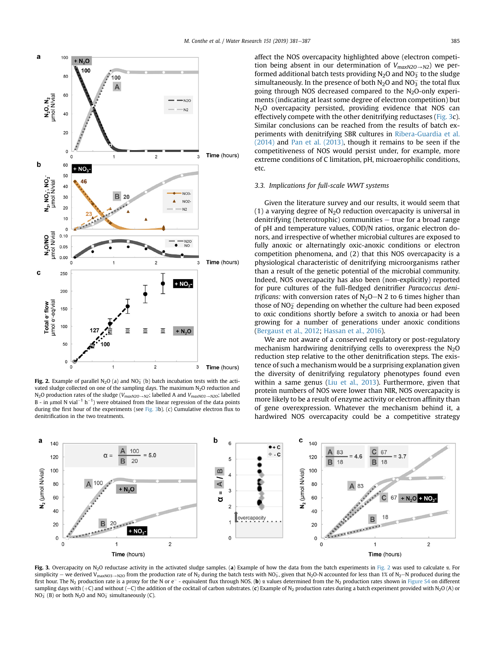

<span id="page-4-0"></span>

**Fig. 2.** Example of parallel N<sub>2</sub>O (a) and NO<sub>3</sub> (b) batch incubation tests with the activated sludge collected on one of the sampling days. The maximum N<sub>2</sub>O reduction and N<sub>2</sub>O production rates of the sludge ( $V_{maxN2O\rightarrow N2}$ ; labelled A and  $V_{maxN03\rightarrow N2O}$ ; labelled B - in µmol N vial<sup>-1</sup> h<sup>-1</sup>) were obtained from the linear regression of the data points during the first hour of the experiments (see Fig. 3b). (c) Cumulative electron flux to denitrification in the two treatments.

affect the NOS overcapacity highlighted above (electron competition being absent in our determination of  $V_{maxN2O\rightarrow N2}$ ) we performed additional batch tests providing N<sub>2</sub>O and NO $_3^-$  to the sludge simultaneously. In the presence of both  $N_2O$  and  $NO_3^-$  the total flux going through NOS decreased compared to the  $N_2O$ -only experiments (indicating at least some degree of electron competition) but N<sub>2</sub>O overcapacity persisted, providing evidence that NOS can effectively compete with the other denitrifying reductases (Fig. 3c). Similar conclusions can be reached from the results of batch experiments with denitrifying SBR cultures in [Ribera-Guardia et al.](#page-6-0) [\(2014\)](#page-6-0) and [Pan et al. \(2013\)](#page-6-0), though it remains to be seen if the competitiveness of NOS would persist under, for example, more extreme conditions of C limitation, pH, microaerophilic conditions, etc.

#### 3.3. Implications for full-scale WWT systems

Given the literature survey and our results, it would seem that (1) a varying degree of  $N<sub>2</sub>O$  reduction overcapacity is universal in denitrifying (heterotrophic) communities  $-$  true for a broad range of pH and temperature values, COD/N ratios, organic electron donors, and irrespective of whether microbial cultures are exposed to fully anoxic or alternatingly oxic-anoxic conditions or electron competition phenomena, and (2) that this NOS overcapacity is a physiological characteristic of denitrifying microorganisms rather than a result of the genetic potential of the microbial community. Indeed, NOS overcapacity has also been (non-explicitly) reported for pure cultures of the full-fledged denitrifier Paracoccus denitrificans: with conversion rates of  $N_2O-N$  2 to 6 times higher than those of NO $_{2}^{-}$  depending on whether the culture had been exposed to oxic conditions shortly before a switch to anoxia or had been growing for a number of generations under anoxic conditions ([Bergaust et al., 2012;](#page-5-0) [Hassan et al., 2016](#page-5-0)).

We are not aware of a conserved regulatory or post-regulatory mechanism hardwiring denitrifying cells to overexpress the  $N<sub>2</sub>O$ reduction step relative to the other denitrification steps. The existence of such a mechanism would be a surprising explanation given the diversity of denitrifying regulatory phenotypes found even within a same genus [\(Liu et al., 2013](#page-5-0)). Furthermore, given that protein numbers of NOS were lower than NIR, NOS overcapacity is more likely to be a result of enzyme activity or electron affinity than of gene overexpression. Whatever the mechanism behind it, a hardwired NOS overcapacity could be a competitive strategy



Fig. 3. Overcapacity on  $N_2O$  reductase activity in the activated sludge samples. (a) Example of how the data from the batch experiments in Fig. 2 was used to calculate  $\alpha$ . For simplicity – we derived V<sub>maxNO3</sub>–<sub>N2O</sub> from the production rate of N<sub>2</sub> during the batch tests with NO<sub>3</sub>, given that N<sub>2</sub>O-N accounted for less than 1% of N<sub>2</sub>–N produced during the first hour. The N<sub>2</sub> production rate is a proxy for the N or e<sup>-</sup> - equivalent flux through NOS. (b)  $\alpha$  values determined from the N<sub>2</sub> production rates shown in Figure S4 on different sampling days with  $(+C)$  and without  $(-C)$  the addition of the cocktail of carbon substrates. (c) Example of N<sub>2</sub> production rates during a batch experiment provided with N<sub>2</sub>O (A) or  $NO_3^-$  (B) or both  $N_2O$  and  $NO_3^-$  simultaneously (C).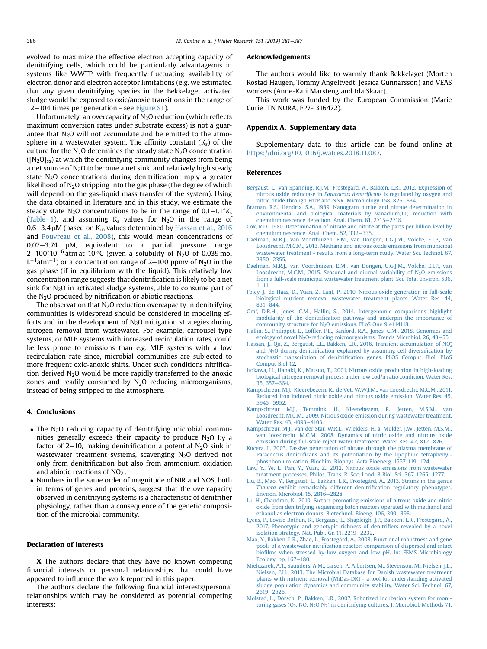<span id="page-5-0"></span>evolved to maximize the effective electron accepting capacity of denitrifying cells, which could be particularly advantageous in systems like WWTP with frequently fluctuating availability of electron donor and electron acceptor limitations (e.g. we estimated that any given denitrifying species in the Bekkelaget activated sludge would be exposed to oxic/anoxic transitions in the range of  $12-104$  times per generation - see Figure S1).

Unfortunately, an overcapacity of N<sub>2</sub>O reduction (which reflects maximum conversion rates under substrate excess) is not a guarantee that  $N_2O$  will not accumulate and be emitted to the atmosphere in a wastewater system. The affinity constant  $(K<sub>s</sub>)$  of the culture for the  $N_2O$  determines the steady state  $N_2O$  concentration  $([N<sub>2</sub>O]<sub>ss</sub>)$  at which the denitrifying community changes from being a net source of  $N<sub>2</sub>O$  to become a net sink, and relatively high steady state  $N_2O$  concentrations during denitrification imply a greater likelihood of  $N_2O$  stripping into the gas phase (the degree of which will depend on the gas-liquid mass transfer of the system). Using the data obtained in literature and in this study, we estimate the steady state N<sub>2</sub>O concentrations to be in the range of  $0.1-1.1*K<sub>s</sub>$ ([Table 1](#page-3-0)), and assuming  $K_s$  values for  $N_2O$  in the range of  $0.6-3.4 \mu M$  (based on K<sub>m</sub> values determined by Hassan et al., 2016 and [Pouvreau et al., 2008\)](#page-6-0), this would mean concentrations of  $0.07 - 3.74$  µM, equivalent to a partial pressure range 2–100\*10 $^{-6}$  atm at  $\,10\,^{\circ}$ C (given a solubility of N $_{2}$ O of 0.039 mol  $\mathsf{L}^{-1}$ atm $^{-1})$  or a concentration range of 2 $-$ 100 ppmv of N $_2$ O in the gas phase (if in equilibrium with the liquid). This relatively low concentration range suggests that denitrification is likely to be a net sink for  $N<sub>2</sub>O$  in activated sludge systems, able to consume part of the  $N<sub>2</sub>O$  produced by nitrification or abiotic reactions.

The observation that  $N_2O$  reduction overcapacity in denitrifying communities is widespread should be considered in modeling efforts and in the development of  $N<sub>2</sub>O$  mitigation strategies during nitrogen removal from wastewater. For example, carrousel-type systems, or MLE systems with increased recirculation rates, could be less prone to emissions than e.g. MLE systems with a low recirculation rate since, microbial communities are subjected to more frequent oxic-anoxic shifts. Under such conditions nitrification derived  $N_2O$  would be more rapidly transferred to the anoxic zones and readily consumed by  $N_2O$  reducing microorganisms, instead of being stripped to the atmosphere.

#### 4. Conclusions

- The N<sub>2</sub>O reducing capacity of denitrifying microbial communities generally exceeds their capacity to produce  $N_2O$  by a factor of 2–10, making denitrification a potential  $N_2O$  sink in wastewater treatment systems, scavenging N<sub>2</sub>O derived not only from denitrification but also from ammonium oxidation and abiotic reactions of NO $_{2}^{-}.$
- Numbers in the same order of magnitude of NIR and NOS, both in terms of genes and proteins, suggest that the overcapacity observed in denitrifying systems is a characteristic of denitrifier physiology, rather than a consequence of the genetic composition of the microbial community.

#### Declaration of interests

X The authors declare that they have no known competing financial interests or personal relationships that could have appeared to influence the work reported in this paper.

The authors declare the following financial interests/personal relationships which may be considered as potential competing interests:

#### Acknowledgements

The authors would like to warmly thank Bekkelaget (Morten Rostad Haugen, Tommy Angeltvedt, Jessica Gunnarsson) and VEAS workers (Anne-Kari Marsteng and Ida Skaar).

This work was funded by the European Commission (Marie Curie ITN NORA, FP7- 316472).

#### Appendix A. Supplementary data

Supplementary data to this article can be found online at [https://doi.org/10.1016/j.watres.2018.11.087.](https://doi.org/10.1016/j.watres.2018.11.087)

#### References

- [Bergaust, L., van Spanning, R.J.M., Frostegård, A., Bakken, L.R., 2012. Expression of](http://refhub.elsevier.com/S0043-1354(18)31031-5/sref1) nitrous oxide reductase in Paracoccus denitrificans [is regulated by oxygen and](http://refhub.elsevier.com/S0043-1354(18)31031-5/sref1) [nitric oxide through FnrP and NNR. Microbiology 158, 826](http://refhub.elsevier.com/S0043-1354(18)31031-5/sref1)-[834.](http://refhub.elsevier.com/S0043-1354(18)31031-5/sref1)
- [Braman, R.S., Hendrix, S.A., 1989. Nanogram nitrite and nitrate determination in](http://refhub.elsevier.com/S0043-1354(18)31031-5/sref2) [environmental and biological materials by vanadium\(III\) reduction with](http://refhub.elsevier.com/S0043-1354(18)31031-5/sref2) [chemiluminescence detection. Anal. Chem. 61, 2715](http://refhub.elsevier.com/S0043-1354(18)31031-5/sref2)-[2718.](http://refhub.elsevier.com/S0043-1354(18)31031-5/sref2)
- [Cox, R.D., 1980. Determination of nitrate and nitrite at the parts per billion level by](http://refhub.elsevier.com/S0043-1354(18)31031-5/sref3) [chemiluminescence. Anal. Chem. 52, 332](http://refhub.elsevier.com/S0043-1354(18)31031-5/sref3)-[335.](http://refhub.elsevier.com/S0043-1354(18)31031-5/sref3)
- [Daelman, M.R.J., van Voorthuizen, E.M., van Dongen, L.G.J.M., Volcke, E.I.P., van](http://refhub.elsevier.com/S0043-1354(18)31031-5/sref4) [Loosdrecht, M.C.M., 2013. Methane and nitrous oxide emissions from municipal](http://refhub.elsevier.com/S0043-1354(18)31031-5/sref4) [wastewater treatment - results from a long-term study. Water Sci. Technol. 67,](http://refhub.elsevier.com/S0043-1354(18)31031-5/sref4) [2350](http://refhub.elsevier.com/S0043-1354(18)31031-5/sref4)-[2355.](http://refhub.elsevier.com/S0043-1354(18)31031-5/sref4)
- [Daelman, M.R.J., van Voorthuizen, E.M., van Dongen, U.G.J.M., Volcke, E.I.P., van](http://refhub.elsevier.com/S0043-1354(18)31031-5/sref5) Loosdrecht, M.C.M., 2015. Seasonal and diurnal variability of  $N_2O$  emissions [from a full-scale municipal wastewater treatment plant. Sci. Total Environ. 536,](http://refhub.elsevier.com/S0043-1354(18)31031-5/sref5)  $1 - 11.$  $1 - 11.$  $1 - 11.$
- [Foley, J., de Haas, D., Yuan, Z., Lant, P., 2010. Nitrous oxide generation in full-scale](http://refhub.elsevier.com/S0043-1354(18)31031-5/sref6) [biological nutrient removal wastewater treatment plants. Water Res. 44,](http://refhub.elsevier.com/S0043-1354(18)31031-5/sref6)  $831 - 844.$  $831 - 844.$  $831 - 844.$
- [Graf, D.R.H., Jones, C.M., Hallin, S., 2014. Intergenomic comparisons highlight](http://refhub.elsevier.com/S0043-1354(18)31031-5/sref7) modularity of the denitrifi[cation pathway and underpin the importance of](http://refhub.elsevier.com/S0043-1354(18)31031-5/sref7) community structure for N<sub>2</sub>O emissions. PLoS One 9 e114118.
- Hallin, S., Philippot, L., Löffl[er, F.E., Sanford, R.A., Jones, C.M., 2018. Genomics and](http://refhub.elsevier.com/S0043-1354(18)31031-5/sref8) ecology of novel N<sub>2</sub>O-reducing microorganisms. Trends Microbiol. 26, 43–[55.](http://refhub.elsevier.com/S0043-1354(18)31031-5/sref8)
- Hassan, J., Qu, Z., Bergaust, L.L., Bakken, L.R., 2016. Transient accumulation of NO<sub>2</sub> and  $N_2O$  during denitrifi[cation explained by assuming cell diversi](http://refhub.elsevier.com/S0043-1354(18)31031-5/sref9)fication by stochastic transcription of denitrifi[cation genes. PLOS Comput. Biol. PLoS](http://refhub.elsevier.com/S0043-1354(18)31031-5/sref9) [Comput Biol 12](http://refhub.elsevier.com/S0043-1354(18)31031-5/sref9).
- [Itokawa, H., Hanaki, K., Matsuo, T., 2001. Nitrous oxide production in high-loading](http://refhub.elsevier.com/S0043-1354(18)31031-5/sref10) [biological nitrogen removal process under low cod/n ratio condition. Water Res.](http://refhub.elsevier.com/S0043-1354(18)31031-5/sref10) [35, 657](http://refhub.elsevier.com/S0043-1354(18)31031-5/sref10)-[664](http://refhub.elsevier.com/S0043-1354(18)31031-5/sref10).
- [Kampschreur, M.J., Kleerebezem, R., de Vet, W.W.J.M., van Loosdrecht, M.C.M., 2011.](http://refhub.elsevier.com/S0043-1354(18)31031-5/sref11) [Reduced iron induced nitric oxide and nitrous oxide emission. Water Res. 45,](http://refhub.elsevier.com/S0043-1354(18)31031-5/sref11) [5945](http://refhub.elsevier.com/S0043-1354(18)31031-5/sref11)-[5952](http://refhub.elsevier.com/S0043-1354(18)31031-5/sref11).
- [Kampschreur, M.J., Temmink, H., Kleerebezem, R., Jetten, M.S.M., van](http://refhub.elsevier.com/S0043-1354(18)31031-5/sref12) [Loosdrecht, M.C.M., 2009. Nitrous oxide emission during wastewater treatment.](http://refhub.elsevier.com/S0043-1354(18)31031-5/sref12) [Water Res. 43, 4093](http://refhub.elsevier.com/S0043-1354(18)31031-5/sref12)-[4103](http://refhub.elsevier.com/S0043-1354(18)31031-5/sref12).
- [Kampschreur, M.J., van der Star, W.R.L., Wielders, H. a, Mulder, J.W., Jetten, M.S.M.,](http://refhub.elsevier.com/S0043-1354(18)31031-5/sref13) [van Loosdrecht, M.C.M., 2008. Dynamics of nitric oxide and nitrous oxide](http://refhub.elsevier.com/S0043-1354(18)31031-5/sref13) [emission during full-scale reject water treatment. Water Res. 42, 812](http://refhub.elsevier.com/S0043-1354(18)31031-5/sref13)-[826](http://refhub.elsevier.com/S0043-1354(18)31031-5/sref13).
- [Ku](http://refhub.elsevier.com/S0043-1354(18)31031-5/sref14)c[era, I., 2003. Passive penetration of nitrate through the plasma membrane of](http://refhub.elsevier.com/S0043-1354(18)31031-5/sref14) Paracoccus denitrifi[cans and its potentiation by the lipophilic tetraphenyl](http://refhub.elsevier.com/S0043-1354(18)31031-5/sref14)[phosphonium cation. Biochim. Biophys. Acta Bioenerg. 1557, 119](http://refhub.elsevier.com/S0043-1354(18)31031-5/sref14)-[124](http://refhub.elsevier.com/S0043-1354(18)31031-5/sref14).
- [Law, Y., Ye, L., Pan, Y., Yuan, Z., 2012. Nitrous oxide emissions from wastewater](http://refhub.elsevier.com/S0043-1354(18)31031-5/sref15) [treatment processes. Philos. Trans. R. Soc. Lond. B Biol. Sci. 367, 1265](http://refhub.elsevier.com/S0043-1354(18)31031-5/sref15)–[1277.](http://refhub.elsevier.com/S0043-1354(18)31031-5/sref15)
- [Liu, B., Mao, Y., Bergaust, L., Bakken, L.R., Frostegård, Å., 2013. Strains in the genus](http://refhub.elsevier.com/S0043-1354(18)31031-5/sref16) Thauera [exhibit remarkably different denitri](http://refhub.elsevier.com/S0043-1354(18)31031-5/sref16)fication regulatory phenotypes. [Environ. Microbiol. 15, 2816](http://refhub.elsevier.com/S0043-1354(18)31031-5/sref16)-[2828](http://refhub.elsevier.com/S0043-1354(18)31031-5/sref16).
- [Lu, H., Chandran, K., 2010. Factors promoting emissions of nitrous oxide and nitric](http://refhub.elsevier.com/S0043-1354(18)31031-5/sref17) [oxide from denitrifying sequencing batch reactors operated with methanol and](http://refhub.elsevier.com/S0043-1354(18)31031-5/sref17)<br>[ethanol as electron donors. Biotechnol. Bioeng. 106, 390](http://refhub.elsevier.com/S0043-1354(18)31031-5/sref17)–[398](http://refhub.elsevier.com/S0043-1354(18)31031-5/sref17).
- [Lycus, P., Lovise B](http://refhub.elsevier.com/S0043-1354(18)31031-5/sref18)ø[thun, K., Bergaust, L., Shapleigh, J.P., Bakken, L.R., Frostegård, Å.,](http://refhub.elsevier.com/S0043-1354(18)31031-5/sref18) [2017. Phenotypic and genotypic richness of denitri](http://refhub.elsevier.com/S0043-1354(18)31031-5/sref18)fiers revealed by a novel [isolation strategy. Nat. Publ. Gr. 11, 2219](http://refhub.elsevier.com/S0043-1354(18)31031-5/sref18)-[2232](http://refhub.elsevier.com/S0043-1354(18)31031-5/sref18).
- [Mao, Y., Bakken, L.R., Zhao, L., Frostegård, Å., 2008. Functional robustness and gene](http://refhub.elsevier.com/S0043-1354(18)31031-5/sref19) pools of a wastewater nitrifi[cation reactor: comparison of dispersed and intact](http://refhub.elsevier.com/S0043-1354(18)31031-5/sref19) biofi[lms when stressed by low oxygen and low pH. In: FEMS Microbiology](http://refhub.elsevier.com/S0043-1354(18)31031-5/sref19) [Ecology, pp. 167](http://refhub.elsevier.com/S0043-1354(18)31031-5/sref19)-[180](http://refhub.elsevier.com/S0043-1354(18)31031-5/sref19).
- [Mielczarek, A.T., Saunders, A.M., Larsen, P., Albertsen, M., Stevenson, M., Nielsen, J.L.,](http://refhub.elsevier.com/S0043-1354(18)31031-5/sref20) [Nielsen, P.H., 2013. The Microbial Database for Danish wastewater treatment](http://refhub.elsevier.com/S0043-1354(18)31031-5/sref20) [plants with nutrient removal \(MiDas-DK\) - a tool for understanding activated](http://refhub.elsevier.com/S0043-1354(18)31031-5/sref20) [sludge population dynamics and community stability. Water Sci. Technol. 67,](http://refhub.elsevier.com/S0043-1354(18)31031-5/sref20)  $2519 - 2526$  $2519 - 2526$  $2519 - 2526$
- Molstad, L., Dörsch, P., Bakken, L.R., 2007. Robotized incubation system for monitoring gases ( $O_2$ , NO, N<sub>2</sub>O N<sub>2</sub>) in denitrifying cultures. J. Microbiol. Methods 71,